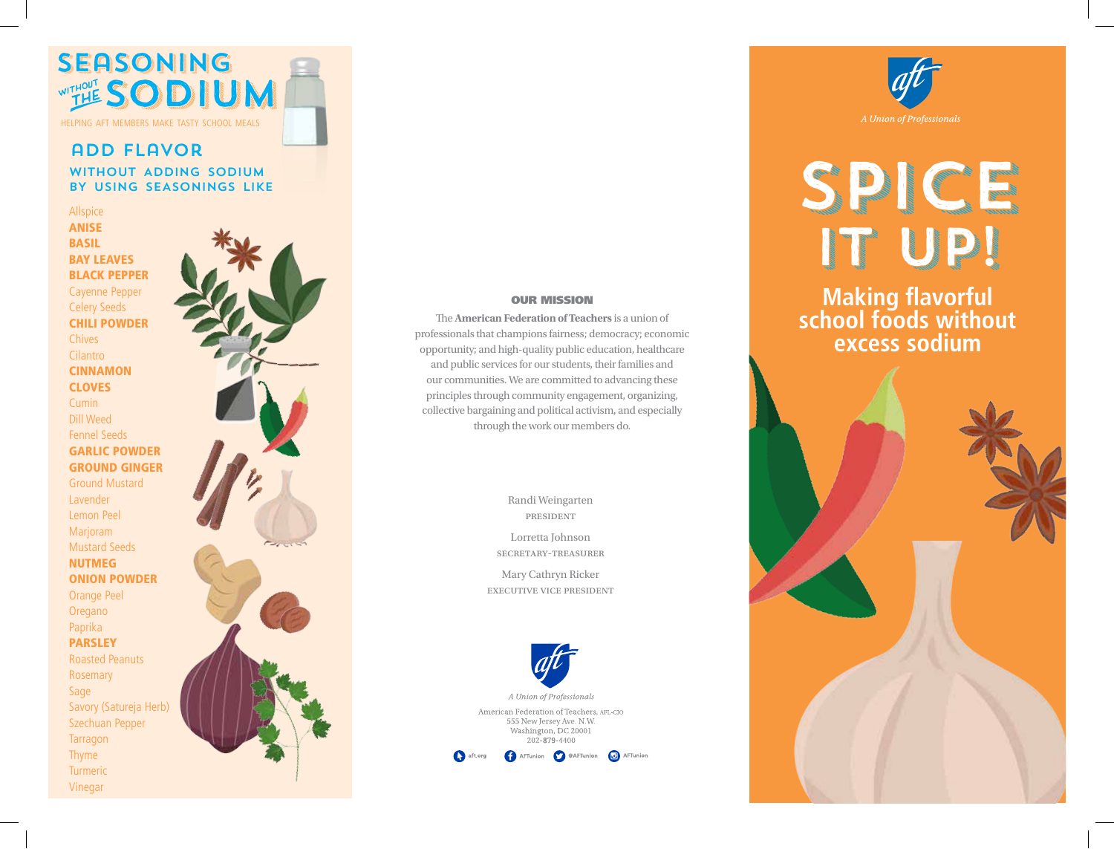

## add flavor without adding sodium

by using seasonings like

Allspice ANISE BASIL BAY LEAVES BLACK PEPPER Cayenne Pepper Celery Seeds CHILI POWDER Chives Cilantro CINNAMON **CLOVES** Cumin Dill Weed Fennel Seeds GARLIC POWDER GROUND GINGER Ground Mustard Lavender Lemon Peel Marjoram Mustard Seeds NUTMEG ONION POWDER Orange Peel

**Oregano** Paprika PARSLEY Roasted Peanuts Rosemary Sage

Savory (Satureja Herb) Szechuan Pepper **Tarragon** Thyme **Turmeric** Vinegar



#### OUR MISSION

The **American Federation of Teachers** is a union of professionals that champions fairness; democracy; economic opportunity; and high-quality public education, healthcare and public services for our students, their families and our communities. We are committed to advancing these principles through community engagement, organizing, collective bargaining and political activism, and especially through the work our members do.

> Randi Weingarten president

Lorretta Johnson secretary-treasurer

Mary Cathryn Ricker executive vice president





# SPICE IT UP!

**Making flavorful school foods without excess sodium**